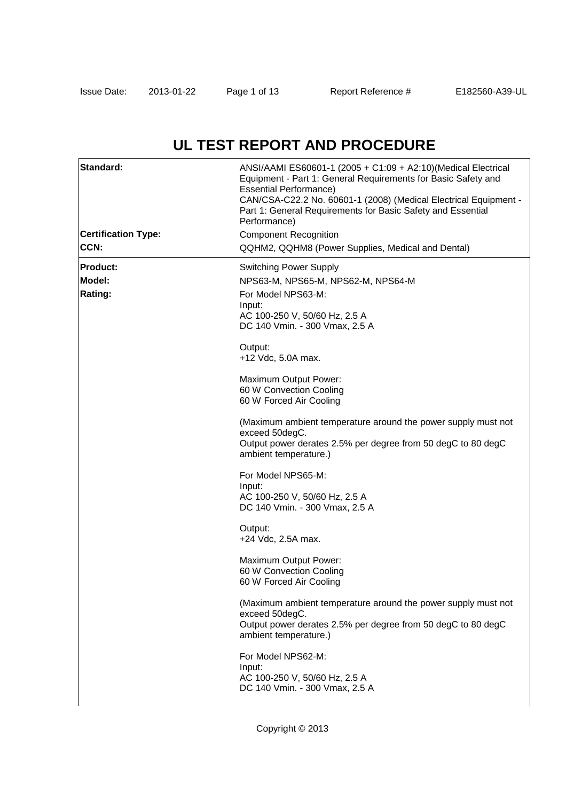# **UL TEST REPORT AND PROCEDURE**

| Standard:<br><b>Certification Type:</b><br>CCN: | ANSI/AAMI ES60601-1 (2005 + C1:09 + A2:10)(Medical Electrical<br>Equipment - Part 1: General Requirements for Basic Safety and<br><b>Essential Performance)</b><br>CAN/CSA-C22.2 No. 60601-1 (2008) (Medical Electrical Equipment -<br>Part 1: General Requirements for Basic Safety and Essential<br>Performance)<br><b>Component Recognition</b><br>QQHM2, QQHM8 (Power Supplies, Medical and Dental) |
|-------------------------------------------------|---------------------------------------------------------------------------------------------------------------------------------------------------------------------------------------------------------------------------------------------------------------------------------------------------------------------------------------------------------------------------------------------------------|
| <b>Product:</b>                                 | <b>Switching Power Supply</b>                                                                                                                                                                                                                                                                                                                                                                           |
| Model:                                          | NPS63-M, NPS65-M, NPS62-M, NPS64-M                                                                                                                                                                                                                                                                                                                                                                      |
| Rating:                                         | For Model NPS63-M:                                                                                                                                                                                                                                                                                                                                                                                      |
|                                                 | Input:<br>AC 100-250 V, 50/60 Hz, 2.5 A                                                                                                                                                                                                                                                                                                                                                                 |
|                                                 | DC 140 Vmin. - 300 Vmax, 2.5 A                                                                                                                                                                                                                                                                                                                                                                          |
|                                                 | Output:<br>+12 Vdc, 5.0A max.                                                                                                                                                                                                                                                                                                                                                                           |
|                                                 | Maximum Output Power:                                                                                                                                                                                                                                                                                                                                                                                   |
|                                                 | 60 W Convection Cooling                                                                                                                                                                                                                                                                                                                                                                                 |
|                                                 | 60 W Forced Air Cooling                                                                                                                                                                                                                                                                                                                                                                                 |
|                                                 | (Maximum ambient temperature around the power supply must not                                                                                                                                                                                                                                                                                                                                           |
|                                                 | exceed 50degC.<br>Output power derates 2.5% per degree from 50 degC to 80 degC<br>ambient temperature.)                                                                                                                                                                                                                                                                                                 |
|                                                 | For Model NPS65-M:                                                                                                                                                                                                                                                                                                                                                                                      |
|                                                 | Input:                                                                                                                                                                                                                                                                                                                                                                                                  |
|                                                 | AC 100-250 V, 50/60 Hz, 2.5 A<br>DC 140 Vmin. - 300 Vmax, 2.5 A                                                                                                                                                                                                                                                                                                                                         |
|                                                 | Output:<br>+24 Vdc, 2.5A max.                                                                                                                                                                                                                                                                                                                                                                           |
|                                                 | Maximum Output Power:<br>60 W Convection Cooling<br>60 W Forced Air Cooling                                                                                                                                                                                                                                                                                                                             |
|                                                 | (Maximum ambient temperature around the power supply must not<br>exceed 50degC.                                                                                                                                                                                                                                                                                                                         |
|                                                 | Output power derates 2.5% per degree from 50 degC to 80 degC<br>ambient temperature.)                                                                                                                                                                                                                                                                                                                   |
|                                                 | For Model NPS62-M:<br>Input:<br>AC 100-250 V, 50/60 Hz, 2.5 A<br>DC 140 Vmin. - 300 Vmax, 2.5 A                                                                                                                                                                                                                                                                                                         |
|                                                 |                                                                                                                                                                                                                                                                                                                                                                                                         |

Copyright © 2013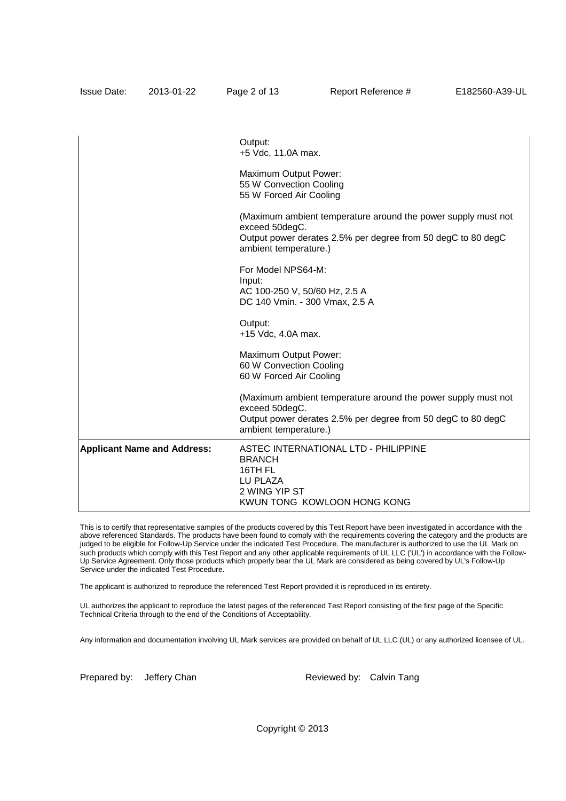|                                    | Output:<br>+5 Vdc, 11.0A max.                                                                                                                                            |
|------------------------------------|--------------------------------------------------------------------------------------------------------------------------------------------------------------------------|
|                                    | Maximum Output Power:<br>55 W Convection Cooling<br>55 W Forced Air Cooling                                                                                              |
|                                    | (Maximum ambient temperature around the power supply must not<br>exceed 50degC.<br>Output power derates 2.5% per degree from 50 degC to 80 degC<br>ambient temperature.) |
|                                    | For Model NPS64-M:<br>Input:<br>AC 100-250 V, 50/60 Hz, 2.5 A<br>DC 140 Vmin. - 300 Vmax, 2.5 A                                                                          |
|                                    | Output:<br>+15 Vdc, 4.0A max.                                                                                                                                            |
|                                    | Maximum Output Power:<br>60 W Convection Cooling<br>60 W Forced Air Cooling                                                                                              |
|                                    | (Maximum ambient temperature around the power supply must not<br>exceed 50degC.<br>Output power derates 2.5% per degree from 50 degC to 80 degC<br>ambient temperature.) |
| <b>Applicant Name and Address:</b> | ASTEC INTERNATIONAL LTD - PHILIPPINE<br><b>BRANCH</b><br>16TH FL<br>LU PLAZA<br>2 WING YIP ST<br>KWUN TONG KOWLOON HONG KONG                                             |

Issue Date: 2013-01-22 Page 2 of 13 Report Reference # E182560-A39-UL

This is to certify that representative samples of the products covered by this Test Report have been investigated in accordance with the above referenced Standards. The products have been found to comply with the requirements covering the category and the products are judged to be eligible for Follow-Up Service under the indicated Test Procedure. The manufacturer is authorized to use the UL Mark on such products which comply with this Test Report and any other applicable requirements of UL LLC ('UL') in accordance with the Follow-Up Service Agreement. Only those products which properly bear the UL Mark are considered as being covered by UL's Follow-Up Service under the indicated Test Procedure.

The applicant is authorized to reproduce the referenced Test Report provided it is reproduced in its entirety.

UL authorizes the applicant to reproduce the latest pages of the referenced Test Report consisting of the first page of the Specific Technical Criteria through to the end of the Conditions of Acceptability.

Any information and documentation involving UL Mark services are provided on behalf of UL LLC (UL) or any authorized licensee of UL.

Prepared by: Jeffery Chan Reviewed by: Calvin Tang

Copyright © 2013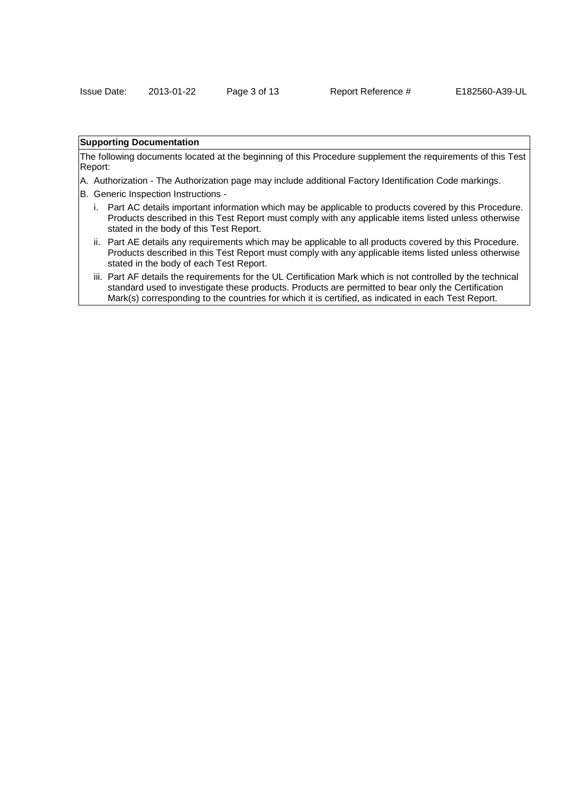## **Supporting Documentation**

The following documents located at the beginning of this Procedure supplement the requirements of this Test Report:

- A. Authorization The Authorization page may include additional Factory Identification Code markings.
- B. Generic Inspection Instructions
	- i. Part AC details important information which may be applicable to products covered by this Procedure. Products described in this Test Report must comply with any applicable items listed unless otherwise stated in the body of this Test Report.
	- ii. Part AE details any requirements which may be applicable to all products covered by this Procedure. Products described in this Test Report must comply with any applicable items listed unless otherwise stated in the body of each Test Report.
	- iii. Part AF details the requirements for the UL Certification Mark which is not controlled by the technical standard used to investigate these products. Products are permitted to bear only the Certification Mark(s) corresponding to the countries for which it is certified, as indicated in each Test Report.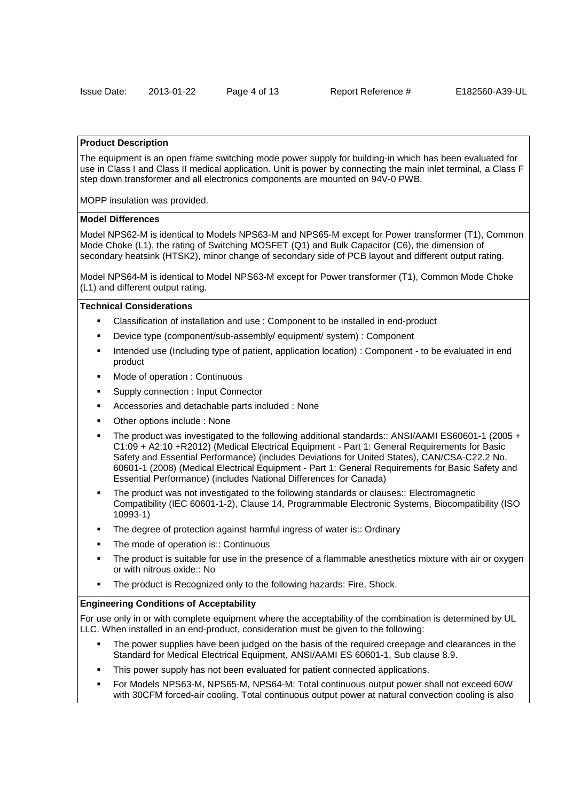### **Product Description**

The equipment is an open frame switching mode power supply for building-in which has been evaluated for use in Class I and Class II medical application. Unit is power by connecting the main inlet terminal, a Class F step down transformer and all electronics components are mounted on 94V-0 PWB.

MOPP insulation was provided.

### **Model Differences**

Model NPS62-M is identical to Models NPS63-M and NPS65-M except for Power transformer (T1), Common Mode Choke (L1), the rating of Switching MOSFET (Q1) and Bulk Capacitor (C6), the dimension of secondary heatsink (HTSK2), minor change of secondary side of PCB layout and different output rating.

Model NPS64-M is identical to Model NPS63-M except for Power transformer (T1), Common Mode Choke (L1) and different output rating.

### **Technical Considerations**

- Classification of installation and use : Component to be installed in end-product
- Device type (component/sub-assembly/ equipment/ system) : Component
- Intended use (Including type of patient, application location) : Component to be evaluated in end product
- Mode of operation : Continuous
- Supply connection : Input Connector
- Accessories and detachable parts included : None
- Other options include : None
- The product was investigated to the following additional standards:: ANSI/AAMI ES60601-1 (2005 + C1:09 + A2:10 +R2012) (Medical Electrical Equipment - Part 1: General Requirements for Basic Safety and Essential Performance) (includes Deviations for United States), CAN/CSA-C22.2 No. 60601-1 (2008) (Medical Electrical Equipment - Part 1: General Requirements for Basic Safety and Essential Performance) (includes National Differences for Canada)
- The product was not investigated to the following standards or clauses:: Electromagnetic Compatibility (IEC 60601-1-2), Clause 14, Programmable Electronic Systems, Biocompatibility (ISO 10993-1)
- The degree of protection against harmful ingress of water is:: Ordinary
- The mode of operation is:: Continuous
- The product is suitable for use in the presence of a flammable anesthetics mixture with air or oxygen or with nitrous oxide:: No
- The product is Recognized only to the following hazards: Fire, Shock.

### **Engineering Conditions of Acceptability**

For use only in or with complete equipment where the acceptability of the combination is determined by UL LLC. When installed in an end-product, consideration must be given to the following:

- The power supplies have been judged on the basis of the required creepage and clearances in the Standard for Medical Electrical Equipment, ANSI/AAMI ES 60601-1, Sub clause 8.9.
- This power supply has not been evaluated for patient connected applications.
- For Models NPS63-M, NPS65-M, NPS64-M: Total continuous output power shall not exceed 60W with 30CFM forced-air cooling. Total continuous output power at natural convection cooling is also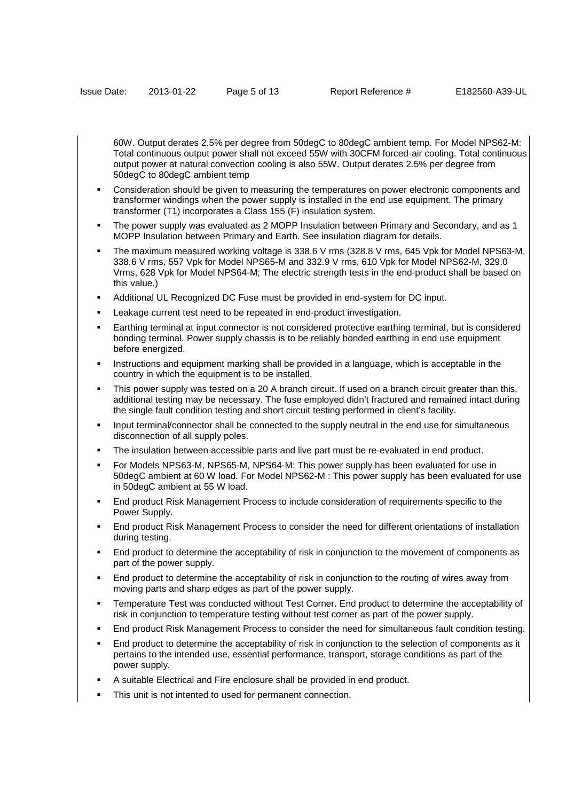60W. Output derates 2.5% per degree from 50degC to 80degC ambient temp. For Model NPS62-M: Total continuous output power shall not exceed 55W with 30CFM forced-air cooling. Total continuous output power at natural convection cooling is also 55W. Output derates 2.5% per degree from 50degC to 80degC ambient temp

- Consideration should be given to measuring the temperatures on power electronic components and transformer windings when the power supply is installed in the end use equipment. The primary transformer (T1) incorporates a Class 155 (F) insulation system.
- The power supply was evaluated as 2 MOPP Insulation between Primary and Secondary, and as 1 MOPP Insulation between Primary and Earth. See insulation diagram for details.
- The maximum measured working voltage is 338.6 V rms (328.8 V rms, 645 Vpk for Model NPS63-M, 338.6 V rms, 557 Vpk for Model NPS65-M and 332.9 V rms, 610 Vpk for Model NPS62-M, 329.0 Vrms, 628 Vpk for Model NPS64-M; The electric strength tests in the end-product shall be based on this value.)
- Additional UL Recognized DC Fuse must be provided in end-system for DC input.
- Leakage current test need to be repeated in end-product investigation.
- Earthing terminal at input connector is not considered protective earthing terminal, but is considered bonding terminal. Power supply chassis is to be reliably bonded earthing in end use equipment before energized.
- Instructions and equipment marking shall be provided in a language, which is acceptable in the country in which the equipment is to be installed.
- This power supply was tested on a 20 A branch circuit. If used on a branch circuit greater than this, additional testing may be necessary. The fuse employed didn't fractured and remained intact during the single fault condition testing and short circuit testing performed in client's facility.
- Input terminal/connector shall be connected to the supply neutral in the end use for simultaneous disconnection of all supply poles.
- The insulation between accessible parts and live part must be re-evaluated in end product.
- For Models NPS63-M, NPS65-M, NPS64-M: This power supply has been evaluated for use in 50degC ambient at 60 W load. For Model NPS62-M : This power supply has been evaluated for use in 50degC ambient at 55 W load.
- End product Risk Management Process to include consideration of requirements specific to the Power Supply.
- End product Risk Management Process to consider the need for different orientations of installation during testing.
- End product to determine the acceptability of risk in conjunction to the movement of components as part of the power supply.
- End product to determine the acceptability of risk in conjunction to the routing of wires away from moving parts and sharp edges as part of the power supply.
- Temperature Test was conducted without Test Corner. End product to determine the acceptability of risk in conjunction to temperature testing without test corner as part of the power supply.
- End product Risk Management Process to consider the need for simultaneous fault condition testing.
- End product to determine the acceptability of risk in conjunction to the selection of components as it pertains to the intended use, essential performance, transport, storage conditions as part of the power supply.
- A suitable Electrical and Fire enclosure shall be provided in end product.
- This unit is not intented to used for permanent connection.